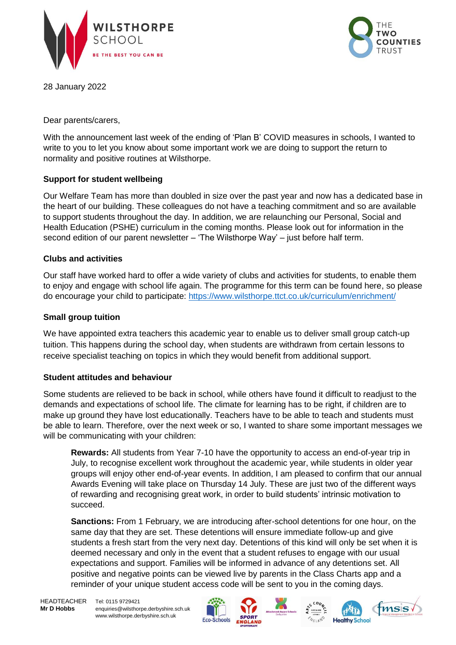



28 January 2022

Dear parents/carers,

With the announcement last week of the ending of 'Plan B' COVID measures in schools, I wanted to write to you to let you know about some important work we are doing to support the return to normality and positive routines at Wilsthorpe.

# **Support for student wellbeing**

Our Welfare Team has more than doubled in size over the past year and now has a dedicated base in the heart of our building. These colleagues do not have a teaching commitment and so are available to support students throughout the day. In addition, we are relaunching our Personal, Social and Health Education (PSHE) curriculum in the coming months. Please look out for information in the second edition of our parent newsletter – 'The Wilsthorpe Way' – just before half term.

# **Clubs and activities**

Our staff have worked hard to offer a wide variety of clubs and activities for students, to enable them to enjoy and engage with school life again. The programme for this term can be found here, so please do encourage your child to participate:<https://www.wilsthorpe.ttct.co.uk/curriculum/enrichment/>

### **Small group tuition**

We have appointed extra teachers this academic year to enable us to deliver small group catch-up tuition. This happens during the school day, when students are withdrawn from certain lessons to receive specialist teaching on topics in which they would benefit from additional support.

# **Student attitudes and behaviour**

Some students are relieved to be back in school, while others have found it difficult to readjust to the demands and expectations of school life. The climate for learning has to be right, if children are to make up ground they have lost educationally. Teachers have to be able to teach and students must be able to learn. Therefore, over the next week or so, I wanted to share some important messages we will be communicating with your children:

**Rewards:** All students from Year 7-10 have the opportunity to access an end-of-year trip in July, to recognise excellent work throughout the academic year, while students in older year groups will enjoy other end-of-year events. In addition, I am pleased to confirm that our annual Awards Evening will take place on Thursday 14 July. These are just two of the different ways of rewarding and recognising great work, in order to build students' intrinsic motivation to succeed.

**Sanctions:** From 1 February, we are introducing after-school detentions for one hour, on the same day that they are set. These detentions will ensure immediate follow-up and give students a fresh start from the very next day. Detentions of this kind will only be set when it is deemed necessary and only in the event that a student refuses to engage with our usual expectations and support. Families will be informed in advance of any detentions set. All positive and negative points can be viewed live by parents in the Class Charts app and a reminder of your unique student access code will be sent to you in the coming days.